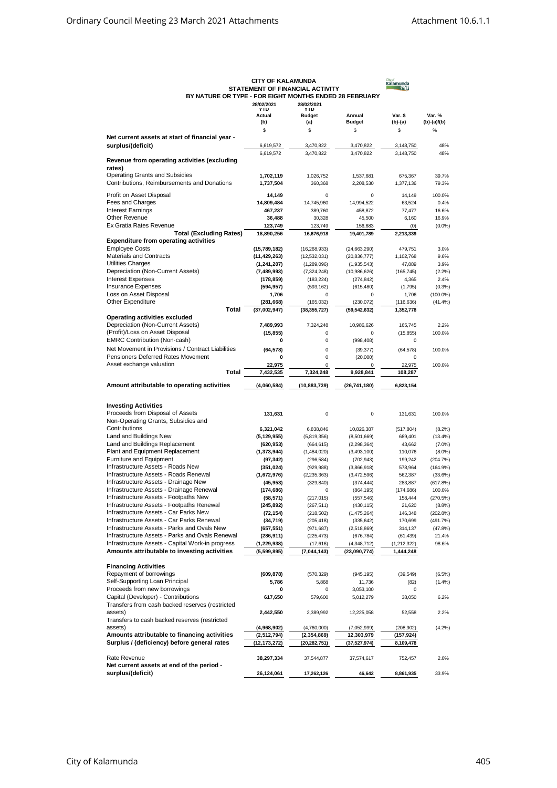|                                                                                                | <b>CITY OF KALAMUNDA</b><br>STATEMENT OF FINANCIAL ACTIVITY                        | Cityof<br><b>Kalamunda</b>   |                             |                         |                      |  |
|------------------------------------------------------------------------------------------------|------------------------------------------------------------------------------------|------------------------------|-----------------------------|-------------------------|----------------------|--|
|                                                                                                | BY NATURE OR TYPE - FOR EIGHT MONTHS ENDED 28 FEBRUARY<br>28/02/2021<br>28/02/2021 |                              |                             |                         |                      |  |
|                                                                                                | <b>YTD</b><br>Actual                                                               | <b>YTD</b><br><b>Budget</b>  | Annual                      | Var. \$                 | Var. %               |  |
|                                                                                                | (b)<br>\$                                                                          | (a)<br>\$                    | <b>Budget</b><br>\$         | (b)-(a)<br>\$           | $(b)-(a)/(b)$<br>%   |  |
| Net current assets at start of financial year -                                                |                                                                                    |                              |                             |                         |                      |  |
| surplus/(deficit)                                                                              | 6,619,572                                                                          | 3,470,822                    | 3,470,822                   | 3,148,750               | 48%                  |  |
| Revenue from operating activities (excluding                                                   | 6,619,572                                                                          | 3,470,822                    | 3,470,822                   | 3,148,750               | 48%                  |  |
| rates)                                                                                         |                                                                                    |                              |                             |                         |                      |  |
| <b>Operating Grants and Subsidies</b><br>Contributions, Reimbursements and Donations           | 1,702,119                                                                          | 1,026,752                    | 1,537,681                   | 675,367                 | 39.7%                |  |
|                                                                                                | 1,737,504                                                                          | 360,368                      | 2,208,530                   | 1,377,136               | 79.3%                |  |
| Profit on Asset Disposal<br>Fees and Charges                                                   | 14,149<br>14,809,484                                                               | 0<br>14,745,960              | 0<br>14,994,522             | 14,149<br>63,524        | 100.0%<br>0.4%       |  |
| <b>Interest Earnings</b>                                                                       | 467,237                                                                            | 389,760                      | 458.872                     | 77,477                  | 16.6%                |  |
| <b>Other Revenue</b>                                                                           | 36,488                                                                             | 30,328                       | 45,500                      | 6,160                   | 16.9%                |  |
| Ex Gratia Rates Revenue<br><b>Total (Excluding Rates)</b>                                      | 123,749<br>18,890,256                                                              | 123,749                      | 156,683<br>19,401,789       | (0)                     | $(0.0\%)$            |  |
| <b>Expenditure from operating activities</b>                                                   |                                                                                    | 16,676,918                   |                             | 2,213,339               |                      |  |
| <b>Employee Costs</b>                                                                          | (15,789,182)                                                                       | (16, 268, 933)               | (24, 663, 290)              | 479,751                 | 3.0%                 |  |
| <b>Materials and Contracts</b><br><b>Utilities Charges</b>                                     | (11, 429, 263)                                                                     | (12,532,031)                 | (20, 836, 777)              | 1,102,768               | 9.6%                 |  |
| Depreciation (Non-Current Assets)                                                              | (1, 241, 207)<br>(7,489,993)                                                       | (1,289,096)<br>(7, 324, 248) | (1,935,543)<br>(10,986,626) | 47,889<br>(165, 745)    | 3.9%<br>(2.2%)       |  |
| <b>Interest Expenses</b>                                                                       | (178, 859)                                                                         | (183, 224)                   | (274, 842)                  | 4,365                   | 2.4%                 |  |
| <b>Insurance Expenses</b>                                                                      | (594, 957)                                                                         | (593, 162)                   | (615, 480)                  | (1,795)                 | (0.3% )              |  |
| Loss on Asset Disposal<br>Other Expenditure                                                    | 1,706<br>(281, 668)                                                                | 0<br>(165, 032)              | 0<br>(230, 072)             | 1,706                   | $(100.0\%)$          |  |
| Total                                                                                          | (37,002,947)                                                                       | (38, 355, 727)               | (59, 542, 632)              | (116, 636)<br>1,352,778 | (41.4%               |  |
| Operating activities excluded                                                                  |                                                                                    |                              |                             |                         |                      |  |
| Depreciation (Non-Current Assets)<br>(Profit)/Loss on Asset Disposal                           | 7,489,993                                                                          | 7.324.248                    | 10,986,626                  | 165.745                 | 2.2%                 |  |
| <b>EMRC Contribution (Non-cash)</b>                                                            | (15, 855)<br>0                                                                     | 0<br>0                       | 0<br>(998, 408)             | (15, 855)<br>0          | 100.0%               |  |
| Net Movement in Provisions / Contract Liabilities                                              | (64, 578)                                                                          | 0                            | (39, 377)                   | (64, 578)               | 100.0%               |  |
| Pensioners Deferred Rates Movement                                                             | 0                                                                                  | 0                            | (20,000)                    | 0                       |                      |  |
| Asset exchange valuation                                                                       | 22,975                                                                             | 0                            | $\Omega$                    | 22,975                  | 100.0%               |  |
| Total                                                                                          | 7,432,535                                                                          | 7,324,248                    | 9,928,841                   | 108,287                 |                      |  |
| Amount attributable to operating activities                                                    | (4,060,584)                                                                        | (10, 883, 739)               | (26, 741, 180)              | 6,823,154               |                      |  |
| <b>Investing Activities</b>                                                                    |                                                                                    |                              |                             |                         |                      |  |
| Proceeds from Disposal of Assets                                                               | 131,631                                                                            | 0                            | 0                           | 131,631                 | 100.0%               |  |
| Non-Operating Grants, Subsidies and<br>Contributions                                           | 6,321,042                                                                          | 6,838,846                    | 10,826,387                  | (517, 804)              | (8.2%)               |  |
| Land and Buildings New                                                                         | (5, 129, 955)                                                                      | (5,819,356)                  | (8,501,669)                 | 689,401                 | (13.4% )             |  |
| Land and Buildings Replacement                                                                 | (620, 953)                                                                         | (664, 615)                   | (2, 298, 364)               | 43,662                  | $(7.0\%)$            |  |
| Plant and Equipment Replacement                                                                | (1, 373, 944)                                                                      | (1,484,020)                  | (3, 493, 100)               | 110,076                 | $(8.0\%)$            |  |
| Furniture and Equipment<br>Infrastructure Assets - Roads New                                   | (97, 342)<br>(351, 024)                                                            | (296, 584)<br>(929, 988)     | (702, 943)<br>(3,866,918)   | 199,242<br>578,964      | (204.7%)<br>(164.9%) |  |
| Infrastructure Assets - Roads Renewal                                                          | (1,672,976)                                                                        | (2, 235, 363)                | (3,472,596)                 | 562,387                 | (33.6%)              |  |
| Infrastructure Assets - Drainage New                                                           | (45, 953)                                                                          | (329, 840)                   | (374, 444)                  | 283.887                 | (617.8%)             |  |
| Infrastructure Assets - Drainage Renewal<br>Infrastructure Assets - Footpaths New              | (174, 686)                                                                         | $\mathbf 0$                  | (864, 195)                  | (174, 686)              | 100.0%               |  |
| Infrastructure Assets - Footpaths Renewal                                                      | (58, 571)<br>(245, 892)                                                            | (217, 015)<br>(267, 511)     | (557, 546)<br>(430, 115)    | 158,444<br>21,620       | (270.5%)<br>(8.8%)   |  |
| Infrastructure Assets - Car Parks New                                                          | (72, 154)                                                                          | (218, 502)                   | (1,475,264)                 | 146,348                 | (202.8%)             |  |
| Infrastructure Assets - Car Parks Renewal                                                      | (34, 719)                                                                          | (205, 418)                   | (335, 642)                  | 170,699                 | (491.7%)             |  |
| Infrastructure Assets - Parks and Ovals New<br>Infrastructure Assets - Parks and Ovals Renewal | (657, 551)<br>(286, 911)                                                           | (971, 687)<br>(225, 473)     | (2,518,869)<br>(676, 784)   | 314,137<br>(61, 439)    | (47.8%)<br>21.4%     |  |
| Infrastructure Assets - Capital Work-in progress                                               | (1, 229, 938)                                                                      | (17,616)                     | (4,348,712)                 | (1, 212, 322)           | 98.6%                |  |
| Amounts attributable to investing activities                                                   | (5,599,895)                                                                        | (7,044,143)                  | (23,090,774)                | 1,444,248               |                      |  |
| <b>Financing Activities</b>                                                                    |                                                                                    |                              |                             |                         |                      |  |
| Repayment of borrowings                                                                        | (609, 878)                                                                         | (570, 329)                   | (945, 195)                  | (39, 549)               | (6.5%)               |  |
| Self-Supporting Loan Principal                                                                 | 5,786                                                                              | 5,868                        | 11,736                      | (82)                    | (1.4%)               |  |
| Proceeds from new borrowings<br>Capital (Developer) - Contributions                            | 0<br>617,650                                                                       | 0<br>579,600                 | 3,053,100<br>5,012,279      | 0<br>38,050             | 6.2%                 |  |
| Transfers from cash backed reserves (restricted                                                |                                                                                    |                              |                             |                         |                      |  |
| assets)                                                                                        | 2,442,550                                                                          | 2,389,992                    | 12,225,058                  | 52,558                  | 2.2%                 |  |
| Transfers to cash backed reserves (restricted<br>assets)                                       | (4,968,902)                                                                        | (4,760,000)                  | (7,052,999)                 | (208, 902)              | (4.2%)               |  |
| Amounts attributable to financing activities                                                   | (2,512,794)                                                                        | (2, 354, 869)                | 12,303,979                  | (157, 924)              |                      |  |
| Surplus / (deficiency) before general rates                                                    | (12,173,272)                                                                       | (20,282,751)                 | (37, 527, 974)              | 8,109,478               |                      |  |
| Rate Revenue<br>Net current assets at end of the period -                                      | 38,297,334                                                                         | 37,544,877                   | 37,574,617                  | 752,457                 | 2.0%                 |  |
| surplus/(deficit)                                                                              | 26,124,061                                                                         | 17,262,126                   | 46,642                      | 8,861,935               | 33.9%                |  |